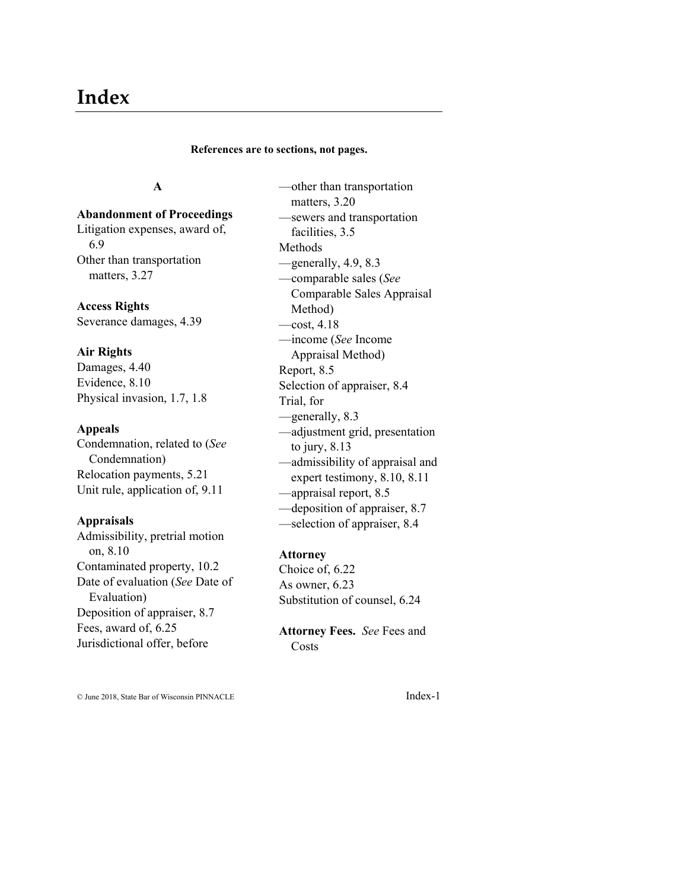# **Index**

#### **References are to sections, not pages.**

# **A**

# **Abandonment of Proceedings**

Litigation expenses, award of, 6.9 Other than transportation matters, 3.27

# **Access Rights**

Severance damages, 4.39

### **Air Rights**

Damages, 4.40 Evidence, 8.10 Physical invasion, 1.7, 1.8

#### **Appeals**

Condemnation, related to (*See* Condemnation) Relocation payments, 5.21 Unit rule, application of, 9.11

### **Appraisals**

Admissibility, pretrial motion on, 8.10 Contaminated property, 10.2 Date of evaluation (*See* Date of Evaluation) Deposition of appraiser, 8.7 Fees, award of, 6.25 Jurisdictional offer, before

—other than transportation matters, 3.20 —sewers and transportation facilities, 3.5 Methods —generally, 4.9, 8.3 —comparable sales (*See* Comparable Sales Appraisal Method)  $-\text{cost}, 4.18$ —income (*See* Income Appraisal Method) Report, 8.5 Selection of appraiser, 8.4 Trial, for —generally, 8.3 —adjustment grid, presentation to jury, 8.13 —admissibility of appraisal and expert testimony, 8.10, 8.11 —appraisal report, 8.5 —deposition of appraiser, 8.7 —selection of appraiser, 8.4

#### **Attorney**

Choice of, 6.22 As owner, 6.23 Substitution of counsel, 6.24

**Attorney Fees.** *See* Fees and Costs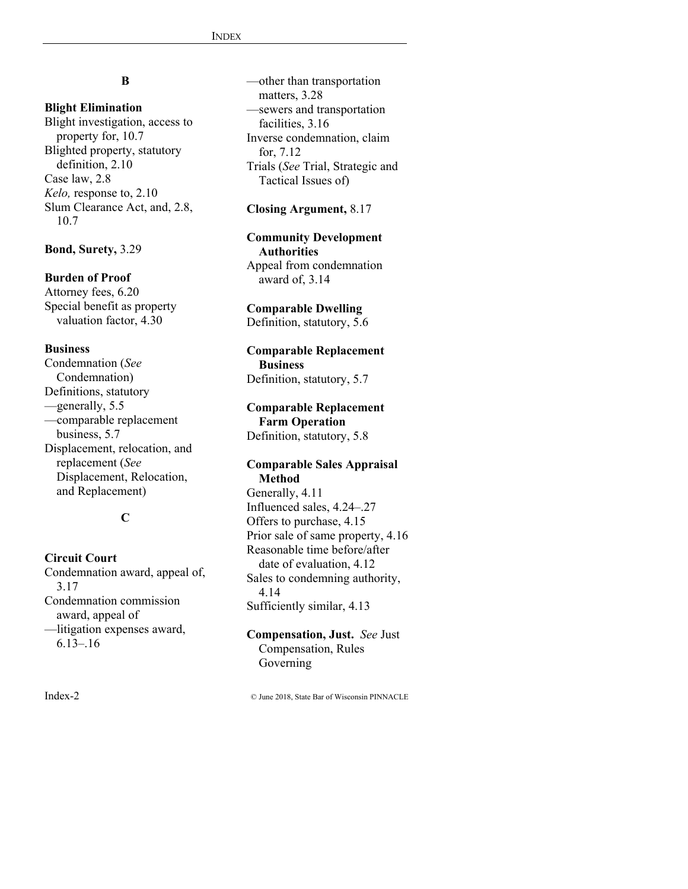# **B**

# **Blight Elimination**

Blight investigation, access to property for, 10.7 Blighted property, statutory definition, 2.10 Case law, 2.8 *Kelo,* response to, 2.10 Slum Clearance Act, and, 2.8, 10.7

### **Bond, Surety,** 3.29

# **Burden of Proof**

Attorney fees, 6.20 Special benefit as property valuation factor, 4.30

### **Business**

Condemnation (*See* Condemnation) Definitions, statutory —generally, 5.5 —comparable replacement business, 5.7 Displacement, relocation, and replacement (*See* Displacement, Relocation, and Replacement)

# **C**

# **Circuit Court** Condemnation award, appeal of, 3.17 Condemnation commission award, appeal of —litigation expenses award, 6.13–.16

—other than transportation matters, 3.28 —sewers and transportation facilities, 3.16 Inverse condemnation, claim for, 7.12 Trials (*See* Trial, Strategic and Tactical Issues of)

### **Closing Argument,** 8.17

#### **Community Development Authorities** Appeal from condemnation award of, 3.14

**Comparable Dwelling** Definition, statutory, 5.6

# **Comparable Replacement Business**

Definition, statutory, 5.7

# **Comparable Replacement Farm Operation** Definition, statutory, 5.8

#### **Comparable Sales Appraisal Method**

Generally, 4.11 Influenced sales, 4.24–.27 Offers to purchase, 4.15 Prior sale of same property, 4.16 Reasonable time before/after date of evaluation, 4.12 Sales to condemning authority, 4.14 Sufficiently similar, 4.13

#### **Compensation, Just.** *See* Just Compensation, Rules Governing

Index-2 © June 2018, State Bar of Wisconsin PINNACLE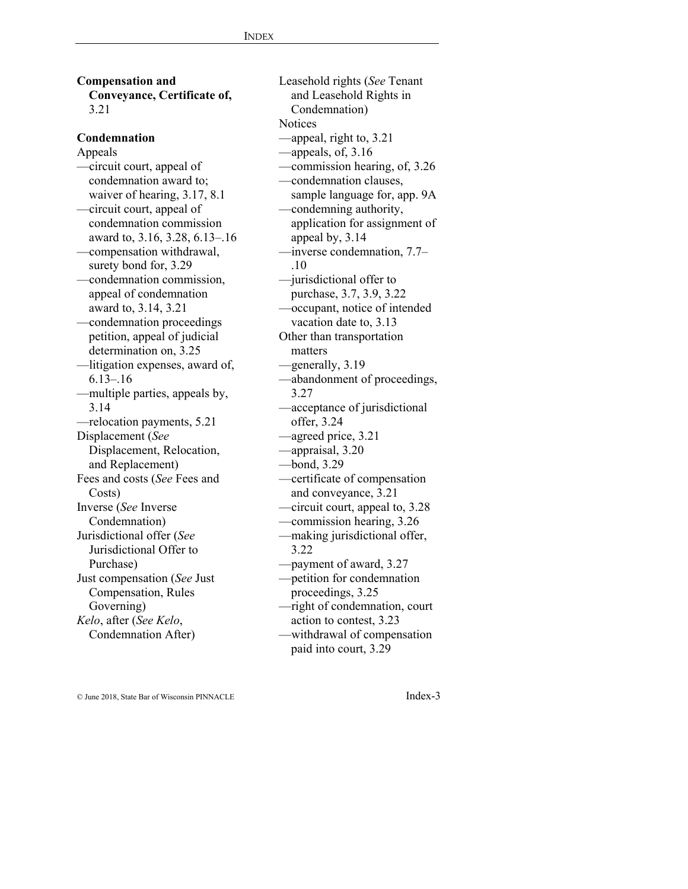**Compensation and Conveyance, Certificate of,**  3.21

#### **Condemnation**

Appeals —circuit court, appeal of condemnation award to; waiver of hearing, 3.17, 8.1 —circuit court, appeal of condemnation commission award to, 3.16, 3.28, 6.13–.16 —compensation withdrawal, surety bond for, 3.29 —condemnation commission, appeal of condemnation award to, 3.14, 3.21 —condemnation proceedings petition, appeal of judicial determination on, 3.25 —litigation expenses, award of,  $6.13 - 16$ —multiple parties, appeals by, 3.14 —relocation payments, 5.21 Displacement (*See* Displacement, Relocation, and Replacement) Fees and costs (*See* Fees and Costs) Inverse (*See* Inverse Condemnation) Jurisdictional offer (*See* Jurisdictional Offer to Purchase) Just compensation (*See* Just Compensation, Rules Governing) *Kelo*, after (*See Kelo*, Condemnation After)

Leasehold rights (*See* Tenant and Leasehold Rights in Condemnation) **Notices** —appeal, right to, 3.21 —appeals, of, 3.16 —commission hearing, of, 3.26 —condemnation clauses, sample language for, app. 9A —condemning authority, application for assignment of appeal by, 3.14 —inverse condemnation, 7.7– .10 —jurisdictional offer to purchase, 3.7, 3.9, 3.22 —occupant, notice of intended vacation date to, 3.13 Other than transportation matters —generally, 3.19 —abandonment of proceedings, 3.27 —acceptance of jurisdictional offer, 3.24 —agreed price, 3.21 —appraisal, 3.20 —bond, 3.29 —certificate of compensation and conveyance, 3.21 —circuit court, appeal to, 3.28 —commission hearing, 3.26 —making jurisdictional offer, 3.22 —payment of award, 3.27 —petition for condemnation proceedings, 3.25 —right of condemnation, court action to contest, 3.23 —withdrawal of compensation

paid into court, 3.29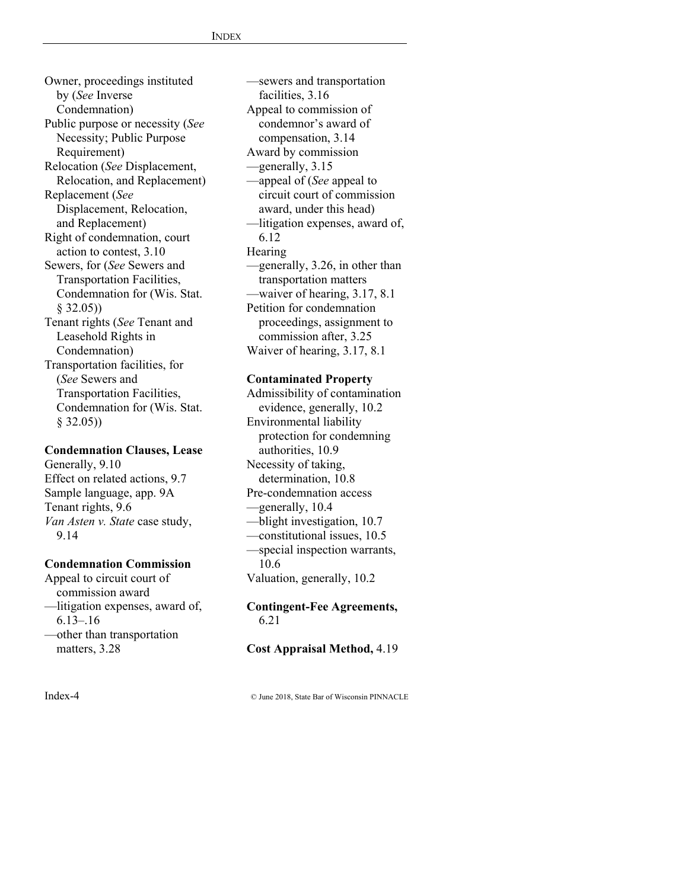Owner, proceedings instituted by (*See* Inverse Condemnation) Public purpose or necessity (*See* Necessity; Public Purpose Requirement) Relocation (*See* Displacement, Relocation, and Replacement) Replacement (*See* Displacement, Relocation, and Replacement) Right of condemnation, court action to contest, 3.10 Sewers, for (*See* Sewers and Transportation Facilities, Condemnation for (Wis. Stat. § 32.05)) Tenant rights (*See* Tenant and Leasehold Rights in Condemnation) Transportation facilities, for (*See* Sewers and Transportation Facilities, Condemnation for (Wis. Stat. § 32.05))

# **Condemnation Clauses, Lease**

Generally, 9.10 Effect on related actions, 9.7 Sample language, app. 9A Tenant rights, 9.6 *Van Asten v. State* case study, 9.14

#### **Condemnation Commission**

Appeal to circuit court of commission award —litigation expenses, award of, 6.13–.16

—other than transportation matters, 3.28

—sewers and transportation facilities, 3.16 Appeal to commission of condemnor's award of compensation, 3.14 Award by commission —generally, 3.15 —appeal of (*See* appeal to circuit court of commission award, under this head) —litigation expenses, award of, 6.12 **Hearing** —generally, 3.26, in other than transportation matters —waiver of hearing, 3.17, 8.1 Petition for condemnation proceedings, assignment to commission after, 3.25 Waiver of hearing, 3.17, 8.1

#### **Contaminated Property**

Admissibility of contamination evidence, generally, 10.2 Environmental liability protection for condemning authorities, 10.9 Necessity of taking, determination, 10.8 Pre-condemnation access —generally, 10.4 —blight investigation, 10.7 —constitutional issues, 10.5 —special inspection warrants, 10.6 Valuation, generally, 10.2

#### **Contingent-Fee Agreements,**  6.21

#### **Cost Appraisal Method,** 4.19

Index-4 © June 2018, State Bar of Wisconsin PINNACLE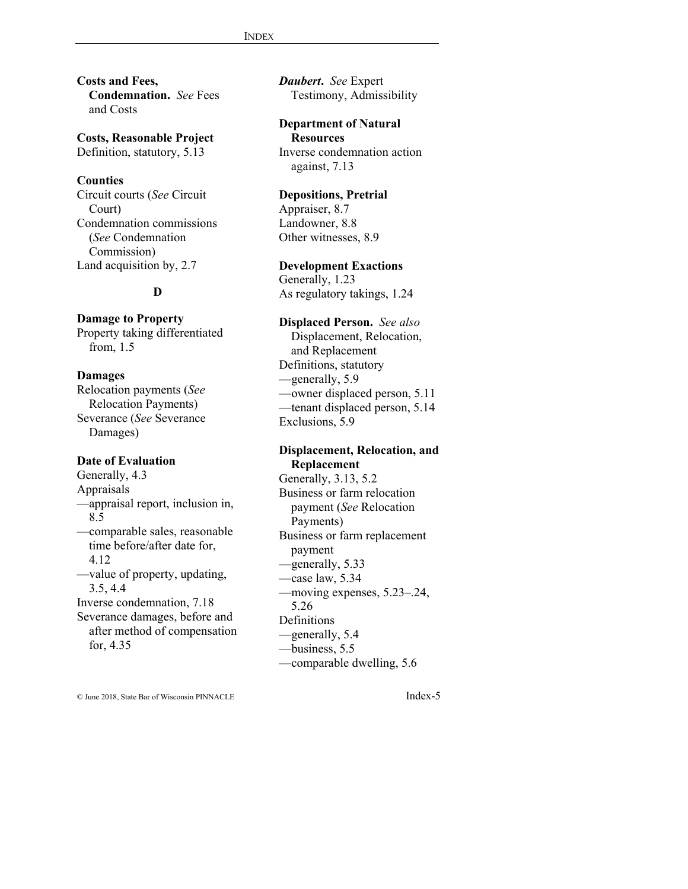**Costs and Fees, Condemnation.** *See* Fees and Costs

**Costs, Reasonable Project** Definition, statutory, 5.13

#### **Counties**

Circuit courts (*See* Circuit Court) Condemnation commissions (*See* Condemnation Commission) Land acquisition by, 2.7

# **D**

**Damage to Property** Property taking differentiated from, 1.5

**Damages** Relocation payments (*See* Relocation Payments) Severance (*See* Severance

#### **Date of Evaluation**

Damages)

Generally, 4.3 Appraisals —appraisal report, inclusion in, 8.5 —comparable sales, reasonable time before/after date for, 4.12 —value of property, updating, 3.5, 4.4 Inverse condemnation, 7.18 Severance damages, before and after method of compensation for, 4.35

*Daubert***.** *See* Expert Testimony, Admissibility

**Department of Natural Resources**  Inverse condemnation action against, 7.13

#### **Depositions, Pretrial**

Appraiser, 8.7 Landowner, 8.8 Other witnesses, 8.9

# **Development Exactions**

Generally, 1.23 As regulatory takings, 1.24

**Displaced Person.** *See also* Displacement, Relocation, and Replacement Definitions, statutory —generally, 5.9 —owner displaced person, 5.11 —tenant displaced person, 5.14 Exclusions, 5.9

#### **Displacement, Relocation, and Replacement**

Generally, 3.13, 5.2 Business or farm relocation payment (*See* Relocation Payments) Business or farm replacement payment —generally, 5.33 —case law, 5.34 —moving expenses, 5.23–.24, 5.26 **Definitions** —generally, 5.4 —business, 5.5 —comparable dwelling, 5.6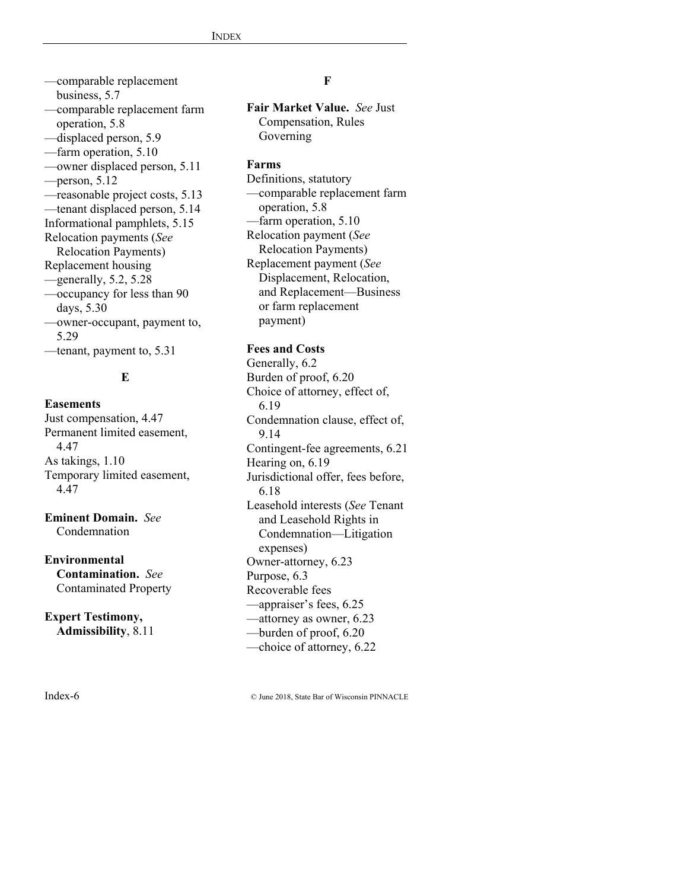—comparable replacement business, 5.7 —comparable replacement farm operation, 5.8 —displaced person, 5.9 —farm operation, 5.10 —owner displaced person, 5.11 —person, 5.12 —reasonable project costs, 5.13 —tenant displaced person, 5.14 Informational pamphlets, 5.15 Relocation payments (*See* Relocation Payments) Replacement housing  $-$ generally, 5.2, 5.28 —occupancy for less than 90 days, 5.30 —owner-occupant, payment to, 5.29 —tenant, payment to, 5.31

# **E**

#### **Easements**

Just compensation, 4.47 Permanent limited easement, 4.47 As takings, 1.10 Temporary limited easement, 4.47

# **Eminent Domain.** *See*  **Condemnation**

#### **Environmental**

**Contamination.** *See* Contaminated Property

# **Expert Testimony, Admissibility**, 8.11

#### **F**

**Fair Market Value.** *See* Just Compensation, Rules Governing

#### **Farms**

Definitions, statutory —comparable replacement farm operation, 5.8 —farm operation, 5.10 Relocation payment (*See* Relocation Payments) Replacement payment (*See* Displacement, Relocation, and Replacement—Business or farm replacement payment)

### **Fees and Costs**

Generally, 6.2 Burden of proof, 6.20 Choice of attorney, effect of, 6.19 Condemnation clause, effect of, 9.14 Contingent-fee agreements, 6.21 Hearing on, 6.19 Jurisdictional offer, fees before, 6.18 Leasehold interests (*See* Tenant and Leasehold Rights in Condemnation—Litigation expenses) Owner-attorney, 6.23 Purpose, 6.3 Recoverable fees —appraiser's fees, 6.25 —attorney as owner, 6.23 —burden of proof, 6.20 —choice of attorney, 6.22

Index-6 © June 2018, State Bar of Wisconsin PINNACLE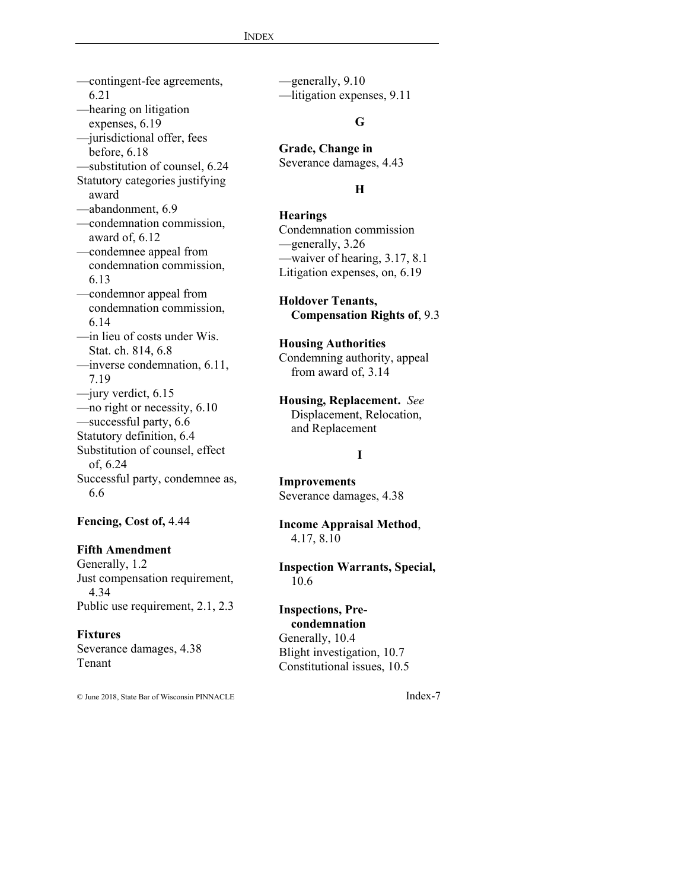—contingent-fee agreements, 6.21 —hearing on litigation expenses, 6.19 —jurisdictional offer, fees before, 6.18 —substitution of counsel, 6.24 Statutory categories justifying award —abandonment, 6.9 —condemnation commission, award of, 6.12 —condemnee appeal from condemnation commission, 6.13 —condemnor appeal from condemnation commission, 6.14 —in lieu of costs under Wis. Stat. ch. 814, 6.8 —inverse condemnation, 6.11, 7.19 —jury verdict, 6.15 —no right or necessity, 6.10 —successful party, 6.6 Statutory definition, 6.4 Substitution of counsel, effect of, 6.24 Successful party, condemnee as, 6.6

# **Fencing, Cost of,** 4.44

# **Fifth Amendment**

Generally, 1.2 Just compensation requirement, 4.34 Public use requirement, 2.1, 2.3

#### **Fixtures**

Severance damages, 4.38 Tenant

© June 2018, State Bar of Wisconsin PINNACLE Index-7

—generally, 9.10 —litigation expenses, 9.11

### **G**

**Grade, Change in** Severance damages, 4.43

# **H**

# **Hearings**

Condemnation commission —generally, 3.26 —waiver of hearing, 3.17, 8.1 Litigation expenses, on, 6.19

**Holdover Tenants, Compensation Rights of**, 9.3

**Housing Authorities** Condemning authority, appeal from award of, 3.14

**Housing, Replacement.** *See* Displacement, Relocation, and Replacement

#### **I**

**Improvements**

Severance damages, 4.38

**Income Appraisal Method**, 4.17, 8.10

#### **Inspection Warrants, Special,** 10.6

#### **Inspections, Pre-**

**condemnation**  Generally, 10.4 Blight investigation, 10.7 Constitutional issues, 10.5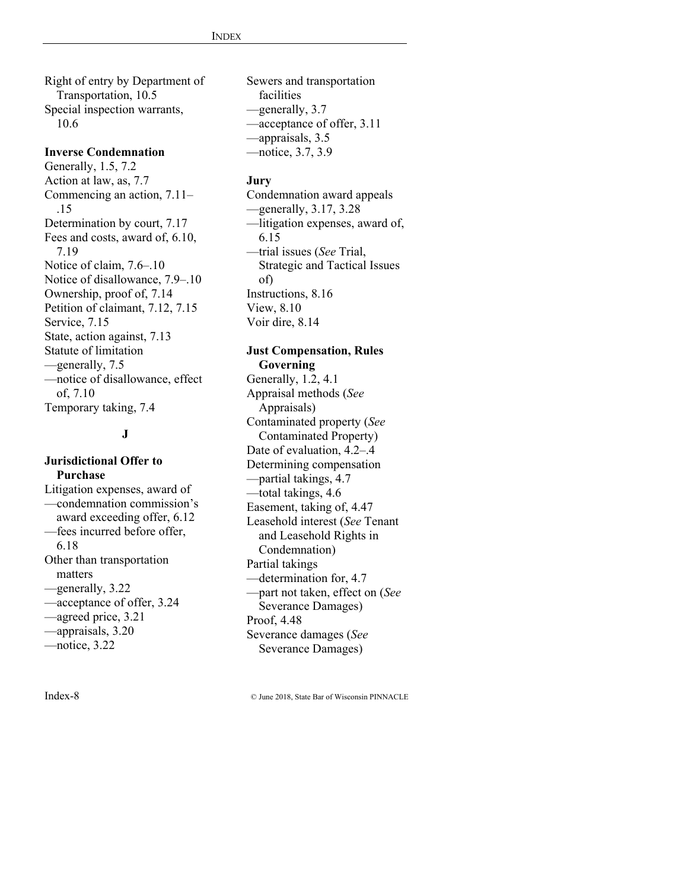Right of entry by Department of Transportation, 10.5 Special inspection warrants, 10.6

#### **Inverse Condemnation**

Generally, 1.5, 7.2 Action at law, as, 7.7 Commencing an action, 7.11– .15 Determination by court, 7.17 Fees and costs, award of, 6.10, 7.19 Notice of claim, 7.6–.10 Notice of disallowance, 7.9–.10 Ownership, proof of, 7.14 Petition of claimant, 7.12, 7.15 Service, 7.15 State, action against, 7.13 Statute of limitation —generally, 7.5 —notice of disallowance, effect of, 7.10 Temporary taking, 7.4

#### **J**

# **Jurisdictional Offer to Purchase**

Litigation expenses, award of —condemnation commission's award exceeding offer, 6.12 —fees incurred before offer, 6.18 Other than transportation matters —generally, 3.22 —acceptance of offer, 3.24 —agreed price, 3.21 —appraisals, 3.20 —notice, 3.22

Sewers and transportation facilities —generally, 3.7 —acceptance of offer, 3.11 —appraisals, 3.5 —notice, 3.7, 3.9

#### **Jury**

Condemnation award appeals  $-$ generally, 3.17, 3.28 —litigation expenses, award of, 6.15 —trial issues (*See* Trial, Strategic and Tactical Issues of) Instructions, 8.16 View, 8.10 Voir dire, 8.14

#### **Just Compensation, Rules Governing**

Generally, 1.2, 4.1 Appraisal methods (*See* Appraisals) Contaminated property (*See* Contaminated Property) Date of evaluation, 4.2–.4 Determining compensation —partial takings, 4.7 —total takings, 4.6 Easement, taking of, 4.47 Leasehold interest (*See* Tenant and Leasehold Rights in Condemnation) Partial takings —determination for, 4.7 —part not taken, effect on (*See* Severance Damages) Proof, 4.48 Severance damages (*See* Severance Damages)

Index-8 © June 2018, State Bar of Wisconsin PINNACLE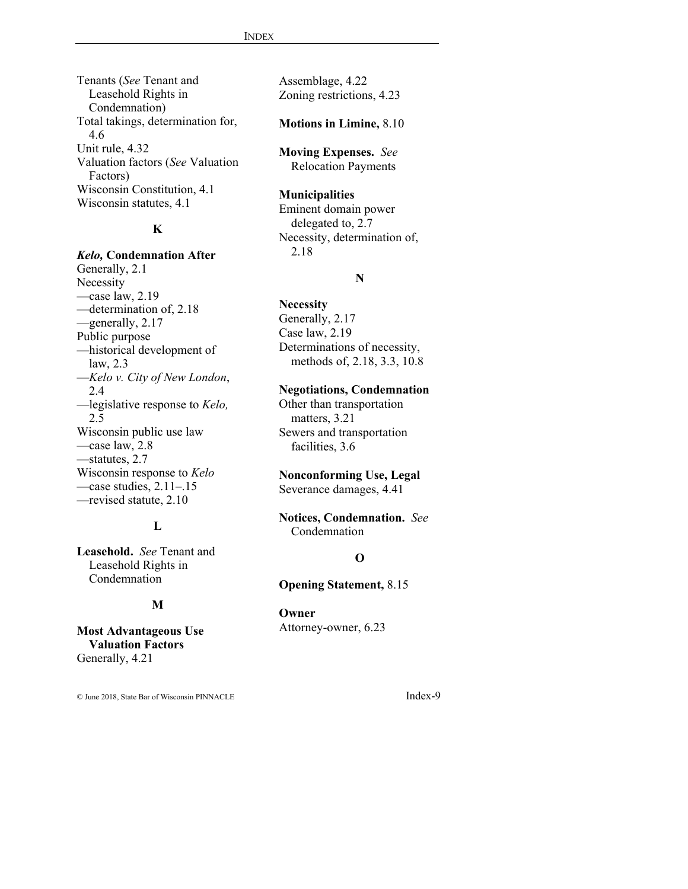Tenants (*See* Tenant and Leasehold Rights in Condemnation) Total takings, determination for, 4.6 Unit rule, 4.32 Valuation factors (*See* Valuation Factors) Wisconsin Constitution, 4.1 Wisconsin statutes, 4.1

# **K**

#### *Kelo,* **Condemnation After** Generally, 2.1

Necessity —case law, 2.19 —determination of, 2.18 —generally, 2.17 Public purpose —historical development of law, 2.3 —*Kelo v. City of New London*, 2.4 —legislative response to *Kelo,* 2.5 Wisconsin public use law —case law, 2.8 —statutes, 2.7 Wisconsin response to *Kelo* —case studies, 2.11–.15 —revised statute, 2.10

# **L**

**Leasehold.** *See* Tenant and Leasehold Rights in Condemnation

#### **M**

**Most Advantageous Use Valuation Factors**  Generally, 4.21

© June 2018, State Bar of Wisconsin PINNACLE Index-9

Assemblage, 4.22 Zoning restrictions, 4.23

#### **Motions in Limine,** 8.10

**Moving Expenses.** *See* Relocation Payments

#### **Municipalities**

Eminent domain power delegated to, 2.7 Necessity, determination of, 2.18

# **N**

#### **Necessity**

Generally, 2.17 Case law, 2.19 Determinations of necessity, methods of, 2.18, 3.3, 10.8

#### **Negotiations, Condemnation**

Other than transportation matters, 3.21 Sewers and transportation facilities, 3.6

# **Nonconforming Use, Legal**

Severance damages, 4.41

# **Notices, Condemnation.** *See* Condemnation

# **O**

**Opening Statement,** 8.15

#### **Owner**

Attorney-owner, 6.23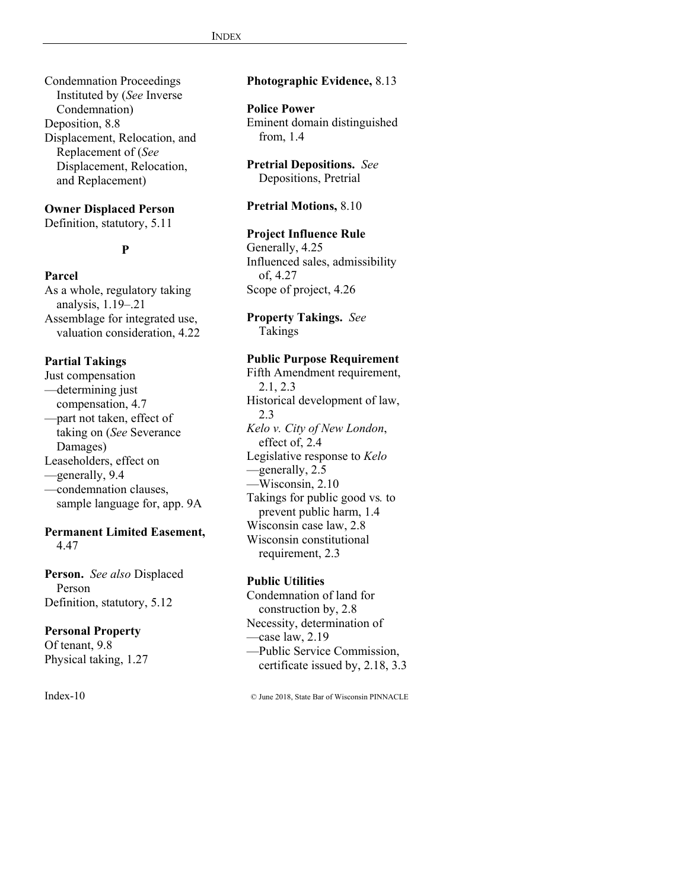Condemnation Proceedings Instituted by (*See* Inverse Condemnation) Deposition, 8.8 Displacement, Relocation, and Replacement of (*See* Displacement, Relocation, and Replacement)

#### **Owner Displaced Person**

Definition, statutory, 5.11

# **P**

#### **Parcel**

As a whole, regulatory taking analysis, 1.19–.21 Assemblage for integrated use, valuation consideration, 4.22

#### **Partial Takings**

Just compensation —determining just compensation, 4.7 —part not taken, effect of taking on (*See* Severance Damages) Leaseholders, effect on —generally, 9.4 —condemnation clauses, sample language for, app. 9A

### **Permanent Limited Easement,** 4.47

**Person.** *See also* Displaced Person Definition, statutory, 5.12

### **Personal Property**

Of tenant, 9.8 Physical taking, 1.27

# **Photographic Evidence,** 8.13

#### **Police Power**

Eminent domain distinguished from, 1.4

**Pretrial Depositions.** *See* Depositions, Pretrial

#### **Pretrial Motions,** 8.10

# **Project Influence Rule**

Generally, 4.25 Influenced sales, admissibility of, 4.27 Scope of project, 4.26

**Property Takings.** *See* Takings

### **Public Purpose Requirement**

Fifth Amendment requirement, 2.1, 2.3 Historical development of law, 2.3 *Kelo v. City of New London*, effect of, 2.4 Legislative response to *Kelo* —generally, 2.5 —Wisconsin, 2.10 Takings for public good vs*.* to prevent public harm, 1.4 Wisconsin case law, 2.8 Wisconsin constitutional requirement, 2.3

#### **Public Utilities**

Condemnation of land for construction by, 2.8 Necessity, determination of —case law, 2.19 —Public Service Commission, certificate issued by, 2.18, 3.3

Index-10 © June 2018, State Bar of Wisconsin PINNACLE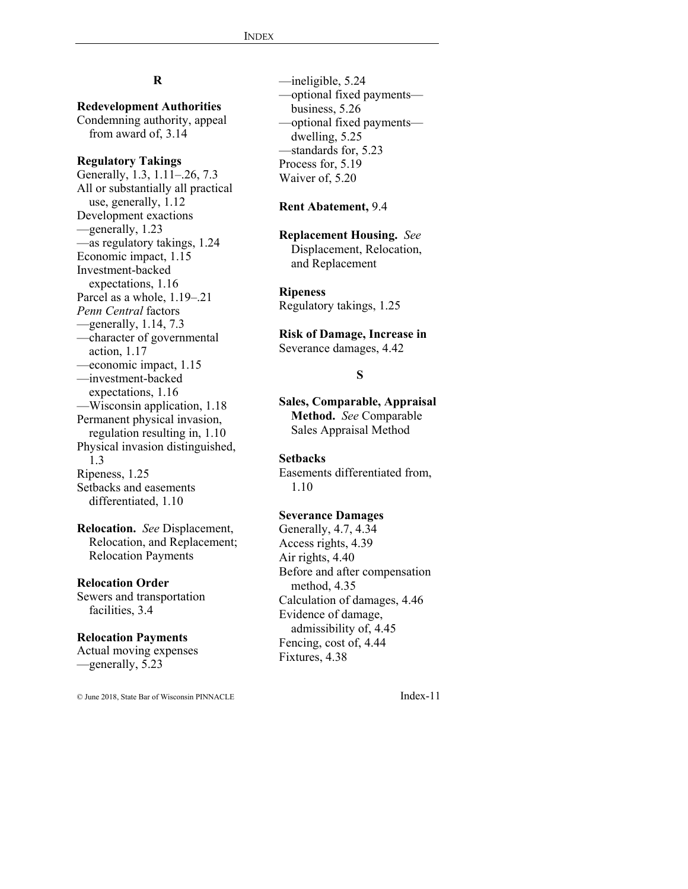# **R**

**Redevelopment Authorities** Condemning authority, appeal from award of, 3.14

#### **Regulatory Takings**

Generally, 1.3, 1.11–.26, 7.3 All or substantially all practical use, generally, 1.12 Development exactions —generally, 1.23 —as regulatory takings, 1.24 Economic impact, 1.15 Investment-backed expectations, 1.16 Parcel as a whole, 1.19–.21 *Penn Central* factors —generally, 1.14, 7.3 —character of governmental action, 1.17 —economic impact, 1.15 —investment-backed expectations, 1.16 —Wisconsin application, 1.18 Permanent physical invasion, regulation resulting in, 1.10 Physical invasion distinguished, 1.3 Ripeness, 1.25 Setbacks and easements differentiated, 1.10

**Relocation.** *See* Displacement, Relocation, and Replacement; Relocation Payments

#### **Relocation Order**

Sewers and transportation facilities, 3.4

#### **Relocation Payments**

Actual moving expenses —generally, 5.23

© June 2018, State Bar of Wisconsin PINNACLE Index-11

—ineligible, 5.24 —optional fixed payments business, 5.26 —optional fixed payments dwelling, 5.25 —standards for, 5.23 Process for, 5.19 Waiver of, 5.20

#### **Rent Abatement,** 9.4

**Replacement Housing.** *See* Displacement, Relocation, and Replacement

**Ripeness** Regulatory takings, 1.25

**Risk of Damage, Increase in** Severance damages, 4.42

#### **S**

**Sales, Comparable, Appraisal Method.** *See* Comparable Sales Appraisal Method

#### **Setbacks**

Easements differentiated from, 1.10

#### **Severance Damages**

Generally, 4.7, 4.34 Access rights, 4.39 Air rights, 4.40 Before and after compensation method, 4.35 Calculation of damages, 4.46 Evidence of damage, admissibility of, 4.45 Fencing, cost of, 4.44 Fixtures, 4.38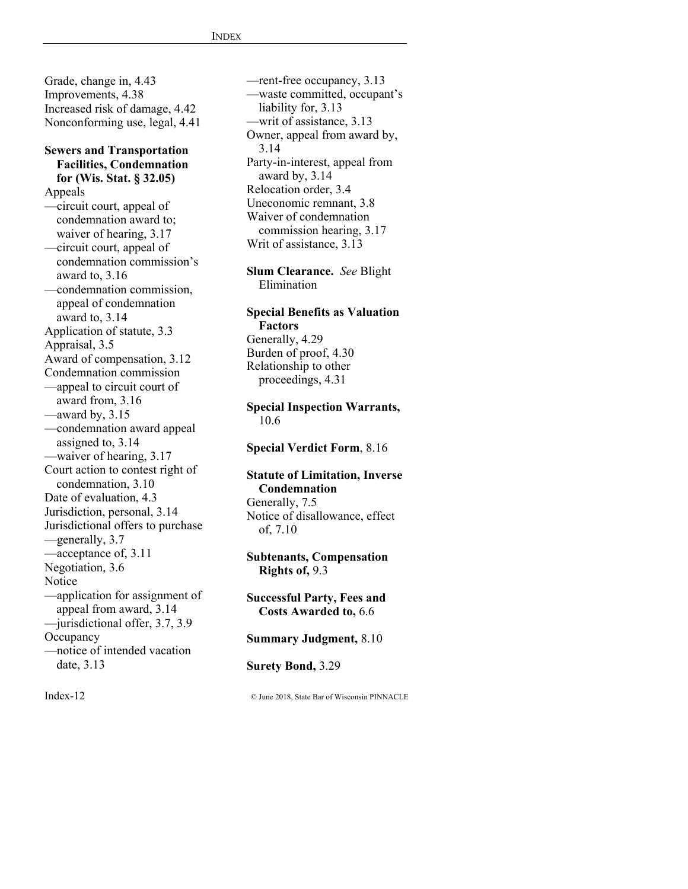Grade, change in, 4.43 Improvements, 4.38 Increased risk of damage, 4.42 Nonconforming use, legal, 4.41

#### **Sewers and Transportation Facilities, Condemnation for (Wis. Stat. § 32.05)**  Appeals

—circuit court, appeal of condemnation award to; waiver of hearing, 3.17 —circuit court, appeal of condemnation commission's award to, 3.16 —condemnation commission, appeal of condemnation award to, 3.14 Application of statute, 3.3 Appraisal, 3.5 Award of compensation, 3.12 Condemnation commission —appeal to circuit court of award from, 3.16 —award by, 3.15 —condemnation award appeal assigned to, 3.14 —waiver of hearing, 3.17 Court action to contest right of condemnation, 3.10 Date of evaluation, 4.3 Jurisdiction, personal, 3.14 Jurisdictional offers to purchase —generally, 3.7 —acceptance of, 3.11 Negotiation, 3.6 **Notice** —application for assignment of appeal from award, 3.14 —jurisdictional offer, 3.7, 3.9 **Occupancy** —notice of intended vacation date, 3.13

—rent-free occupancy, 3.13 —waste committed, occupant's liability for, 3.13 —writ of assistance, 3.13 Owner, appeal from award by, 3.14 Party-in-interest, appeal from award by, 3.14 Relocation order, 3.4 Uneconomic remnant, 3.8 Waiver of condemnation commission hearing, 3.17 Writ of assistance, 3.13

**Slum Clearance.** *See* Blight Elimination

# **Special Benefits as Valuation Factors**

Generally, 4.29 Burden of proof, 4.30 Relationship to other proceedings, 4.31

### **Special Inspection Warrants,**  10.6

**Special Verdict Form**, 8.16

#### **Statute of Limitation, Inverse Condemnation**  Generally, 7.5 Notice of disallowance, effect of, 7.10

**Subtenants, Compensation Rights of,** 9.3

**Successful Party, Fees and Costs Awarded to,** 6.6

**Summary Judgment,** 8.10

**Surety Bond,** 3.29

Index-12 © June 2018, State Bar of Wisconsin PINNACLE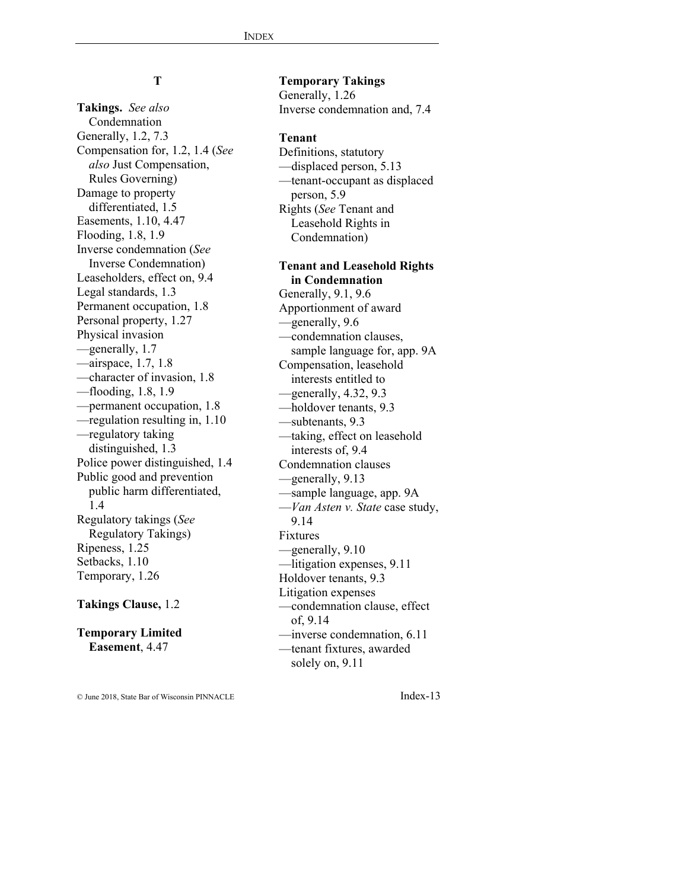# **T**

**Takings.** *See also* Condemnation Generally, 1.2, 7.3 Compensation for, 1.2, 1.4 (*See also* Just Compensation, Rules Governing) Damage to property differentiated, 1.5 Easements, 1.10, 4.47 Flooding, 1.8, 1.9 Inverse condemnation (*See* Inverse Condemnation) Leaseholders, effect on, 9.4 Legal standards, 1.3 Permanent occupation, 1.8 Personal property, 1.27 Physical invasion —generally, 1.7 —airspace, 1.7, 1.8 —character of invasion, 1.8 —flooding, 1.8, 1.9 —permanent occupation, 1.8 —regulation resulting in, 1.10 —regulatory taking distinguished, 1.3 Police power distinguished, 1.4 Public good and prevention public harm differentiated, 1.4 Regulatory takings (*See* Regulatory Takings) Ripeness, 1.25 Setbacks, 1.10 Temporary, 1.26

#### **Takings Clause,** 1.2

**Temporary Limited Easement**, 4.47

**Temporary Takings** Generally, 1.26 Inverse condemnation and, 7.4

#### **Tenant**

Definitions, statutory —displaced person, 5.13 —tenant-occupant as displaced person, 5.9 Rights (*See* Tenant and Leasehold Rights in Condemnation)

# **Tenant and Leasehold Rights in Condemnation**

Generally, 9.1, 9.6 Apportionment of award —generally, 9.6 —condemnation clauses, sample language for, app. 9A Compensation, leasehold interests entitled to  $-$ generally, 4.32, 9.3 —holdover tenants, 9.3 —subtenants, 9.3 —taking, effect on leasehold interests of, 9.4 Condemnation clauses —generally, 9.13 —sample language, app. 9A —*Van Asten v. State* case study, 9.14 Fixtures —generally, 9.10 —litigation expenses, 9.11 Holdover tenants, 9.3 Litigation expenses —condemnation clause, effect of, 9.14 —inverse condemnation, 6.11 —tenant fixtures, awarded solely on, 9.11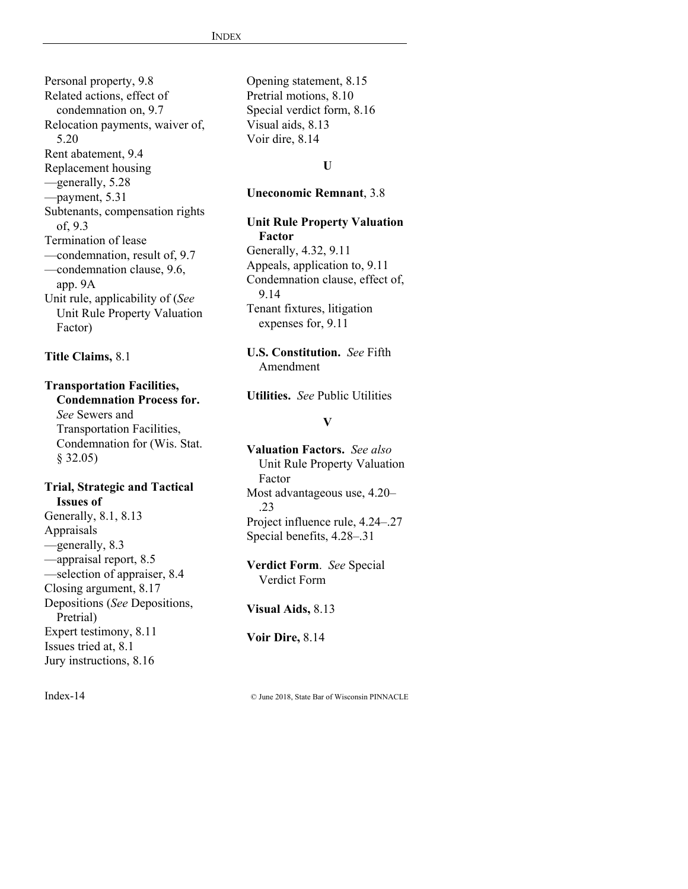Personal property, 9.8 Related actions, effect of condemnation on, 9.7 Relocation payments, waiver of, 5.20 Rent abatement, 9.4 Replacement housing —generally, 5.28 —payment, 5.31 Subtenants, compensation rights of, 9.3 Termination of lease —condemnation, result of, 9.7 —condemnation clause, 9.6, app. 9A Unit rule, applicability of (*See* Unit Rule Property Valuation Factor)

### **Title Claims,** 8.1

#### **Transportation Facilities, Condemnation Process for.**

*See* Sewers and Transportation Facilities, Condemnation for (Wis. Stat. § 32.05)

### **Trial, Strategic and Tactical Issues of**  Generally, 8.1, 8.13

Appraisals —generally, 8.3 —appraisal report, 8.5 —selection of appraiser, 8.4 Closing argument, 8.17 Depositions (*See* Depositions, Pretrial) Expert testimony, 8.11 Issues tried at, 8.1 Jury instructions, 8.16

Opening statement, 8.15 Pretrial motions, 8.10 Special verdict form, 8.16 Visual aids, 8.13 Voir dire, 8.14

# **U**

### **Uneconomic Remnant**, 3.8

# **Unit Rule Property Valuation**

**Factor**  Generally, 4.32, 9.11 Appeals, application to, 9.11 Condemnation clause, effect of, 9.14 Tenant fixtures, litigation expenses for, 9.11

# **U.S. Constitution.** *See* Fifth Amendment

**Utilities.** *See* Public Utilities

#### **V**

**Valuation Factors.** *See also* Unit Rule Property Valuation Factor Most advantageous use, 4.20– .23 Project influence rule, 4.24–.27 Special benefits, 4.28–.31

**Verdict Form**.*See* Special Verdict Form

**Visual Aids,** 8.13

**Voir Dire,** 8.14

Index-14 © June 2018, State Bar of Wisconsin PINNACLE